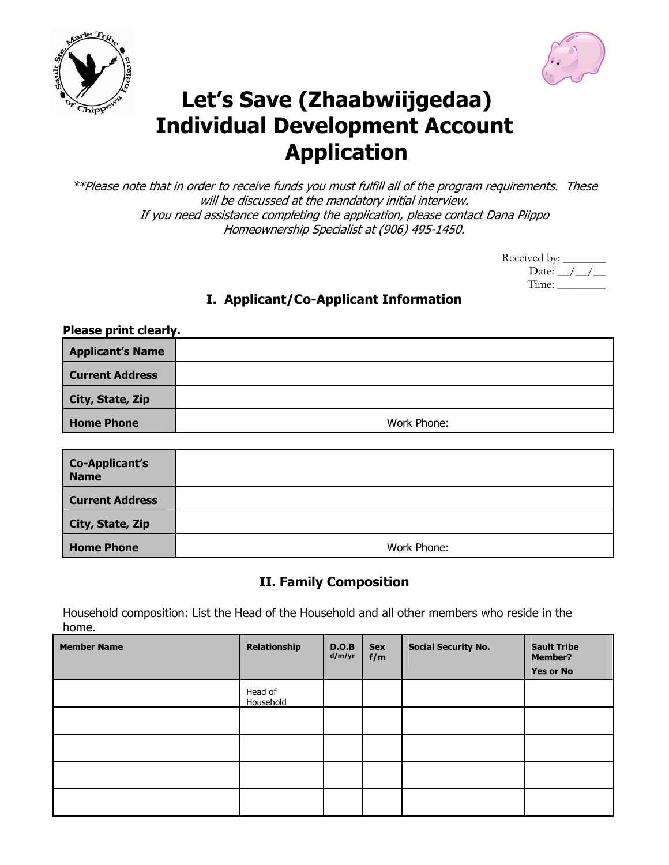



# **Let's Save (Zhaabwiijgedaa) Individual Development Account Application**

\*\*Please note that in order to receive funds you must fulfill all of the program requirements. These will be discussed at the mandatory initial interview. If you need assistance completing the application, please contact Dana Piippo Homeownership Specialist at (906) 495-1450.

| Received by: _   |  |
|------------------|--|
| Date: $\sqrt{ }$ |  |
| Time:            |  |

#### **I. Applicant/Co-Applicant Information**

| Please print clearly.   |             |
|-------------------------|-------------|
| <b>Applicant's Name</b> |             |
| <b>Current Address</b>  |             |
| City, State, Zip        |             |
| <b>Home Phone</b>       | Work Phone: |

| <b>Co-Applicant's</b><br><b>Name</b> |             |
|--------------------------------------|-------------|
| <b>Current Address</b>               |             |
| City, State, Zip                     |             |
| <b>Home Phone</b>                    | Work Phone: |

#### **II. Family Composition**

Household composition: List the Head of the Household and all other members who reside in the home.

| <b>Member Name</b> | <b>Relationship</b>  | D.O.B<br>d/m/yr | <b>Sex</b><br>f/m | <b>Social Security No.</b> | <b>Sault Tribe</b><br><b>Member?</b><br><b>Yes or No</b> |
|--------------------|----------------------|-----------------|-------------------|----------------------------|----------------------------------------------------------|
|                    | Head of<br>Household |                 |                   |                            |                                                          |
|                    |                      |                 |                   |                            |                                                          |
|                    |                      |                 |                   |                            |                                                          |
|                    |                      |                 |                   |                            |                                                          |
|                    |                      |                 |                   |                            |                                                          |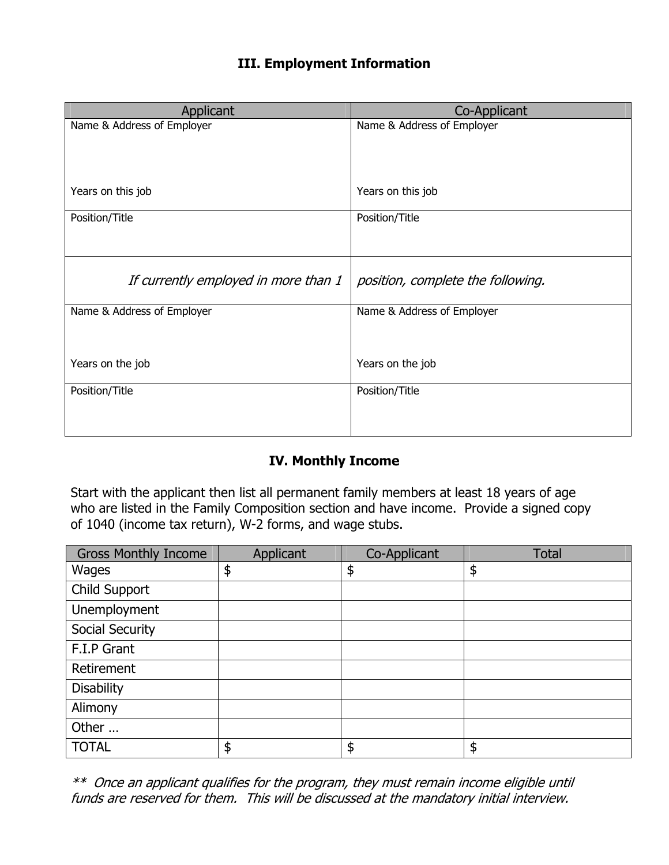#### **III. Employment Information**

| Co-Applicant                      |
|-----------------------------------|
| Name & Address of Employer        |
|                                   |
|                                   |
| Years on this job                 |
|                                   |
| Position/Title                    |
|                                   |
|                                   |
|                                   |
| position, complete the following. |
| Name & Address of Employer        |
|                                   |
|                                   |
|                                   |
| Years on the job                  |
| Position/Title                    |
|                                   |
|                                   |
|                                   |

#### **IV. Monthly Income**

Start with the applicant then list all permanent family members at least 18 years of age who are listed in the Family Composition section and have income. Provide a signed copy of 1040 (income tax return), W-2 forms, and wage stubs.

| <b>Gross Monthly Income</b> | Applicant | Co-Applicant  | <b>Total</b> |
|-----------------------------|-----------|---------------|--------------|
| Wages                       | \$        | $\frac{1}{2}$ | \$           |
| Child Support               |           |               |              |
| Unemployment                |           |               |              |
| Social Security             |           |               |              |
| F.I.P Grant                 |           |               |              |
| Retirement                  |           |               |              |
| <b>Disability</b>           |           |               |              |
| Alimony                     |           |               |              |
| Other                       |           |               |              |
| <b>TOTAL</b>                | \$        | \$            | \$           |

\*\* Once an applicant qualifies for the program, they must remain income eligible until funds are reserved for them. This will be discussed at the mandatory initial interview.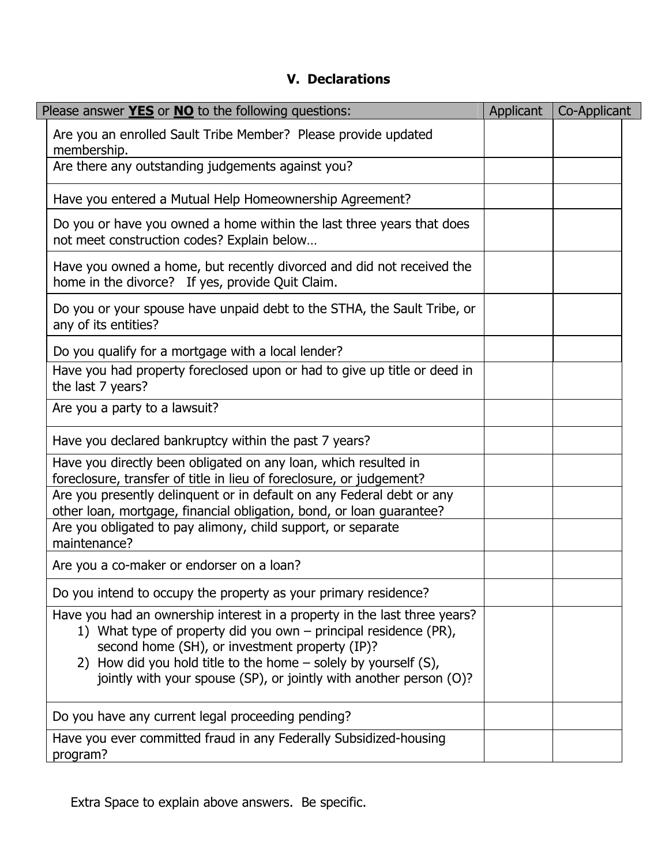### **V. Declarations**

| Please answer <b>YES</b> or <b>NO</b> to the following questions:                                                                                                                                                                                                                                                                        | Applicant | Co-Applicant |
|------------------------------------------------------------------------------------------------------------------------------------------------------------------------------------------------------------------------------------------------------------------------------------------------------------------------------------------|-----------|--------------|
| Are you an enrolled Sault Tribe Member? Please provide updated<br>membership.                                                                                                                                                                                                                                                            |           |              |
| Are there any outstanding judgements against you?                                                                                                                                                                                                                                                                                        |           |              |
| Have you entered a Mutual Help Homeownership Agreement?                                                                                                                                                                                                                                                                                  |           |              |
| Do you or have you owned a home within the last three years that does<br>not meet construction codes? Explain below                                                                                                                                                                                                                      |           |              |
| Have you owned a home, but recently divorced and did not received the<br>home in the divorce? If yes, provide Quit Claim.                                                                                                                                                                                                                |           |              |
| Do you or your spouse have unpaid debt to the STHA, the Sault Tribe, or<br>any of its entities?                                                                                                                                                                                                                                          |           |              |
| Do you qualify for a mortgage with a local lender?                                                                                                                                                                                                                                                                                       |           |              |
| Have you had property foreclosed upon or had to give up title or deed in<br>the last 7 years?                                                                                                                                                                                                                                            |           |              |
| Are you a party to a lawsuit?                                                                                                                                                                                                                                                                                                            |           |              |
| Have you declared bankruptcy within the past 7 years?                                                                                                                                                                                                                                                                                    |           |              |
| Have you directly been obligated on any loan, which resulted in<br>foreclosure, transfer of title in lieu of foreclosure, or judgement?                                                                                                                                                                                                  |           |              |
| Are you presently delinquent or in default on any Federal debt or any<br>other loan, mortgage, financial obligation, bond, or loan guarantee?                                                                                                                                                                                            |           |              |
| Are you obligated to pay alimony, child support, or separate<br>maintenance?                                                                                                                                                                                                                                                             |           |              |
| Are you a co-maker or endorser on a loan?                                                                                                                                                                                                                                                                                                |           |              |
| Do you intend to occupy the property as your primary residence?                                                                                                                                                                                                                                                                          |           |              |
| Have you had an ownership interest in a property in the last three years?<br>1) What type of property did you own – principal residence (PR),<br>second home (SH), or investment property (IP)?<br>2) How did you hold title to the home – solely by yourself (S),<br>jointly with your spouse (SP), or jointly with another person (O)? |           |              |
| Do you have any current legal proceeding pending?                                                                                                                                                                                                                                                                                        |           |              |
| Have you ever committed fraud in any Federally Subsidized-housing<br>program?                                                                                                                                                                                                                                                            |           |              |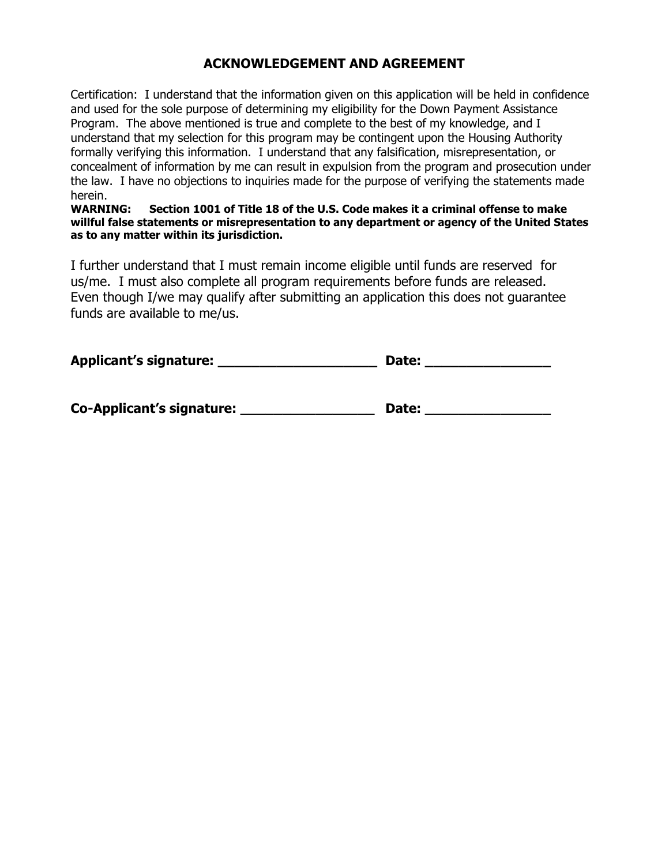#### **ACKNOWLEDGEMENT AND AGREEMENT**

Certification: I understand that the information given on this application will be held in confidence and used for the sole purpose of determining my eligibility for the Down Payment Assistance Program. The above mentioned is true and complete to the best of my knowledge, and I understand that my selection for this program may be contingent upon the Housing Authority formally verifying this information. I understand that any falsification, misrepresentation, or concealment of information by me can result in expulsion from the program and prosecution under the law. I have no objections to inquiries made for the purpose of verifying the statements made herein.

**WARNING: Section 1001 of Title 18 of the U.S. Code makes it a criminal offense to make willful false statements or misrepresentation to any department or agency of the United States as to any matter within its jurisdiction.**

I further understand that I must remain income eligible until funds are reserved for us/me. I must also complete all program requirements before funds are released. Even though I/we may qualify after submitting an application this does not guarantee funds are available to me/us.

| Applicant's signature:           | Date: |  |  |
|----------------------------------|-------|--|--|
|                                  |       |  |  |
| <b>Co-Applicant's signature:</b> | Date: |  |  |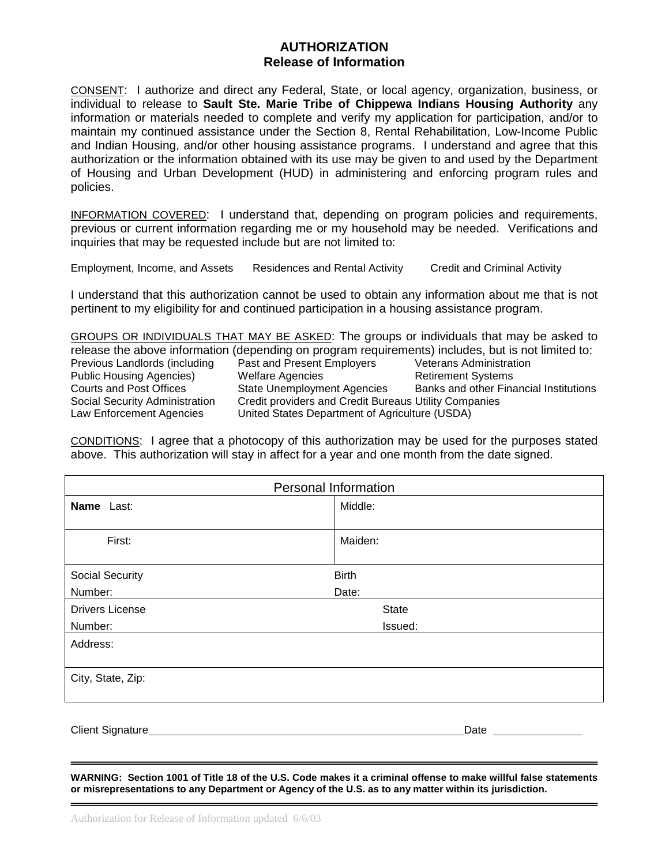#### **AUTHORIZATION Release of Information**

CONSENT: I authorize and direct any Federal, State, or local agency, organization, business, or individual to release to **Sault Ste. Marie Tribe of Chippewa Indians Housing Authority** any information or materials needed to complete and verify my application for participation, and/or to maintain my continued assistance under the Section 8, Rental Rehabilitation, Low-Income Public and Indian Housing, and/or other housing assistance programs. I understand and agree that this authorization or the information obtained with its use may be given to and used by the Department of Housing and Urban Development (HUD) in administering and enforcing program rules and policies.

INFORMATION COVERED: I understand that, depending on program policies and requirements, previous or current information regarding me or my household may be needed. Verifications and inquiries that may be requested include but are not limited to:

Employment, Income, and Assets Residences and Rental Activity Credit and Criminal Activity

I understand that this authorization cannot be used to obtain any information about me that is not pertinent to my eligibility for and continued participation in a housing assistance program.

GROUPS OR INDIVIDUALS THAT MAY BE ASKED: The groups or individuals that may be asked to release the above information (depending on program requirements) includes, but is not limited to: Previous Landlords (including Past and Present Employers Veterans Administration Public Housing Agencies) and Welfare Agencies button and Retirement Systems<br>Courts and Post Offices Cate Unemployment Agencies Banks and other Fina State Unemployment Agencies Banks and other Financial Institutions Social Security Administration Credit providers and Credit Bureaus Utility Companies Law Enforcement Agencies United States Department of Agriculture (USDA)

CONDITIONS: I agree that a photocopy of this authorization may be used for the purposes stated above. This authorization will stay in affect for a year and one month from the date signed.

| <b>Personal Information</b> |              |  |
|-----------------------------|--------------|--|
| Name Last:                  | Middle:      |  |
|                             |              |  |
| First:                      | Maiden:      |  |
|                             |              |  |
| Social Security             | <b>Birth</b> |  |
| Number:                     | Date:        |  |
| <b>Drivers License</b>      | <b>State</b> |  |
| Number:                     | Issued:      |  |
| Address:                    |              |  |
|                             |              |  |
| City, State, Zip:           |              |  |
|                             |              |  |
|                             |              |  |

Client Signature Date

**WARNING: Section 1001 of Title 18 of the U.S. Code makes it a criminal offense to make willful false statements or misrepresentations to any Department or Agency of the U.S. as to any matter within its jurisdiction.**